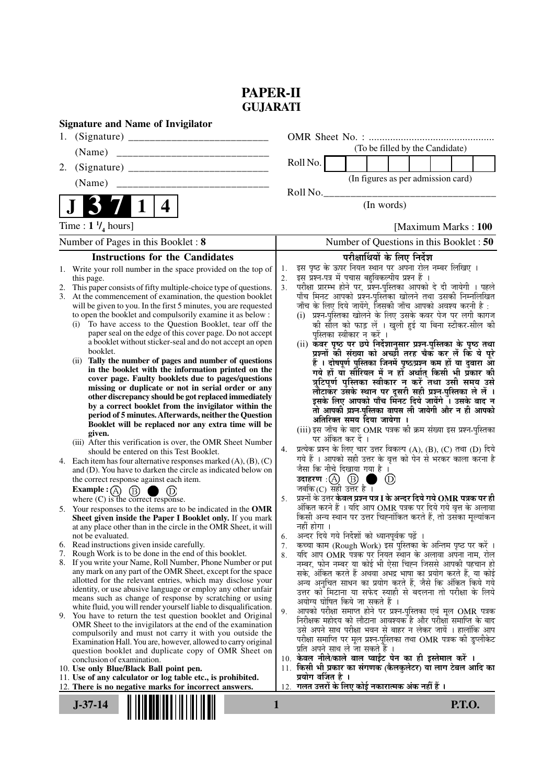## **PAPER-II GUJARATI**

| <b>Signature and Name of Invigilator</b>                                                                                                                                                                                                                                                                                                                                                                                                                                                                                                                                                                                                                                                                                                                                                                                                                                                                                                                                                                                                                                                                                                                                                                                                                                                                                        |                                                                                                                                                                                                                                                                                                                                                                                                                                                                                                                                                                                                                                                                                                                                                                                                                                                                                                                                                                                                                                                                                                                                                                                                                                                                                                                                                     |
|---------------------------------------------------------------------------------------------------------------------------------------------------------------------------------------------------------------------------------------------------------------------------------------------------------------------------------------------------------------------------------------------------------------------------------------------------------------------------------------------------------------------------------------------------------------------------------------------------------------------------------------------------------------------------------------------------------------------------------------------------------------------------------------------------------------------------------------------------------------------------------------------------------------------------------------------------------------------------------------------------------------------------------------------------------------------------------------------------------------------------------------------------------------------------------------------------------------------------------------------------------------------------------------------------------------------------------|-----------------------------------------------------------------------------------------------------------------------------------------------------------------------------------------------------------------------------------------------------------------------------------------------------------------------------------------------------------------------------------------------------------------------------------------------------------------------------------------------------------------------------------------------------------------------------------------------------------------------------------------------------------------------------------------------------------------------------------------------------------------------------------------------------------------------------------------------------------------------------------------------------------------------------------------------------------------------------------------------------------------------------------------------------------------------------------------------------------------------------------------------------------------------------------------------------------------------------------------------------------------------------------------------------------------------------------------------------|
|                                                                                                                                                                                                                                                                                                                                                                                                                                                                                                                                                                                                                                                                                                                                                                                                                                                                                                                                                                                                                                                                                                                                                                                                                                                                                                                                 |                                                                                                                                                                                                                                                                                                                                                                                                                                                                                                                                                                                                                                                                                                                                                                                                                                                                                                                                                                                                                                                                                                                                                                                                                                                                                                                                                     |
| (Name)                                                                                                                                                                                                                                                                                                                                                                                                                                                                                                                                                                                                                                                                                                                                                                                                                                                                                                                                                                                                                                                                                                                                                                                                                                                                                                                          | (To be filled by the Candidate)                                                                                                                                                                                                                                                                                                                                                                                                                                                                                                                                                                                                                                                                                                                                                                                                                                                                                                                                                                                                                                                                                                                                                                                                                                                                                                                     |
| 2.                                                                                                                                                                                                                                                                                                                                                                                                                                                                                                                                                                                                                                                                                                                                                                                                                                                                                                                                                                                                                                                                                                                                                                                                                                                                                                                              | Roll No.                                                                                                                                                                                                                                                                                                                                                                                                                                                                                                                                                                                                                                                                                                                                                                                                                                                                                                                                                                                                                                                                                                                                                                                                                                                                                                                                            |
|                                                                                                                                                                                                                                                                                                                                                                                                                                                                                                                                                                                                                                                                                                                                                                                                                                                                                                                                                                                                                                                                                                                                                                                                                                                                                                                                 | (In figures as per admission card)                                                                                                                                                                                                                                                                                                                                                                                                                                                                                                                                                                                                                                                                                                                                                                                                                                                                                                                                                                                                                                                                                                                                                                                                                                                                                                                  |
| $\vert$ 1<br>4                                                                                                                                                                                                                                                                                                                                                                                                                                                                                                                                                                                                                                                                                                                                                                                                                                                                                                                                                                                                                                                                                                                                                                                                                                                                                                                  | Roll No.<br>(In words)                                                                                                                                                                                                                                                                                                                                                                                                                                                                                                                                                                                                                                                                                                                                                                                                                                                                                                                                                                                                                                                                                                                                                                                                                                                                                                                              |
| Time : $1 \frac{1}{4}$ hours]                                                                                                                                                                                                                                                                                                                                                                                                                                                                                                                                                                                                                                                                                                                                                                                                                                                                                                                                                                                                                                                                                                                                                                                                                                                                                                   | [Maximum Marks: 100]                                                                                                                                                                                                                                                                                                                                                                                                                                                                                                                                                                                                                                                                                                                                                                                                                                                                                                                                                                                                                                                                                                                                                                                                                                                                                                                                |
| Number of Pages in this Booklet: 8                                                                                                                                                                                                                                                                                                                                                                                                                                                                                                                                                                                                                                                                                                                                                                                                                                                                                                                                                                                                                                                                                                                                                                                                                                                                                              | Number of Questions in this Booklet: 50                                                                                                                                                                                                                                                                                                                                                                                                                                                                                                                                                                                                                                                                                                                                                                                                                                                                                                                                                                                                                                                                                                                                                                                                                                                                                                             |
| <b>Instructions for the Candidates</b>                                                                                                                                                                                                                                                                                                                                                                                                                                                                                                                                                                                                                                                                                                                                                                                                                                                                                                                                                                                                                                                                                                                                                                                                                                                                                          | परीक्षार्थियों के लिए निर्देश                                                                                                                                                                                                                                                                                                                                                                                                                                                                                                                                                                                                                                                                                                                                                                                                                                                                                                                                                                                                                                                                                                                                                                                                                                                                                                                       |
| This paper consists of fifty multiple-choice type of questions.<br>2.<br>3. At the commencement of examination, the question booklet<br>will be given to you. In the first 5 minutes, you are requested<br>to open the booklet and compulsorily examine it as below :<br>To have access to the Question Booklet, tear off the<br>(i)<br>paper seal on the edge of this cover page. Do not accept<br>a booklet without sticker-seal and do not accept an open<br>booklet.<br>(ii) Tally the number of pages and number of questions<br>in the booklet with the information printed on the<br>cover page. Faulty booklets due to pages/questions<br>missing or duplicate or not in serial order or any<br>other discrepancy should be got replaced immediately<br>by a correct booklet from the invigilator within the<br>period of 5 minutes. Afterwards, neither the Question<br>Booklet will be replaced nor any extra time will be<br>given.<br>(iii) After this verification is over, the OMR Sheet Number<br>should be entered on this Test Booklet.<br>4. Each item has four alternative responses marked $(A)$ , $(B)$ , $(C)$<br>and (D). You have to darken the circle as indicated below on<br>the correct response against each item.<br><b>Example</b> : $\overline{A}$<br>(B)<br>where (C) is the correct response. | परीक्षा प्रारम्भ होने पर, प्रश्न-पुस्तिका आपको दे दी जायेगी । पहले<br>3.<br>पाँच मिनट आपको प्रश्न-पुस्तिका खोलने तथा उसकी निम्नलिखित<br>जाँच के लिए दिये जायेंगे, जिसकी जाँच आपको अवश्य करनी है :<br>(i) प्रश्न-पुस्तिका खोलने के लिए उसके कवर पेज पर लगी कागज<br>की सील को फाड़ लें । खुली हुई या बिना स्टीकर-सील की<br>पुस्तिका स्वीकार न करें ।<br>(ii) कवर पृष्ठ पर छपे निर्देशानुसार प्रश्न-पुस्तिका के पृष्ठ तथा<br>प्रश्नों की संख्या को अच्छी तरह चैक कर लें कि ये पूरे<br>हैं । दोषपूर्ण पुस्तिका जिनमें पृष्ठ/प्रश्न कम हों या दुबारा आ<br>गये हों या सीरियल में न हों अर्थात् किसी भी प्रकार की<br>त्रुटिपूर्ण पुस्तिका स्वीकार न करें तथा उसी समय उसे<br>लौटाकर उसके स्थान पर दूसरी सही प्रश्न-पुस्तिका ले लें ।<br>इसके लिए आपको पाँच मिनट दिये जायेंगे । उसके बाद न<br>तो आपकी प्रश्न-पुस्तिका वापस ली जायेगी और न ही आपको<br>अतिरिक्त समय दिया जायेगा ।<br>(iii) इस जाँच के बाद OMR पत्रक की क्रम संख्या इस प्रश्न-पुस्तिका<br>पर अंकित कर दें ।<br>प्रत्येक प्रश्न के लिए चार उत्तर विकल्प (A), (B), (C) तथा (D) दिये<br>4.<br>गये हैं । आपको सही उत्तर के वृत्त को पेन से भरकर काला करना है<br>जैसा कि नीचे दिखाया गया है ।<br>उदाहरण $\cdot$ $\circled{A}$ $\circled{B}$ $\circ$<br>$\circled{\scriptstyle D}$<br>जबकि $(C)$ सही उत्तर है।<br>प्रश्नों के उत्तर <b>केवल प्रश्न पत्र I के अन्दर दिये गये OMR पत्रक पर ही</b><br>5. |
| 5. Your responses to the items are to be indicated in the OMR<br>Sheet given inside the Paper I Booklet only. If you mark<br>at any place other than in the circle in the OMR Sheet, it will<br>not be evaluated.                                                                                                                                                                                                                                                                                                                                                                                                                                                                                                                                                                                                                                                                                                                                                                                                                                                                                                                                                                                                                                                                                                               | अंकित करने हैं । यदि आप OMR पत्रक पर दिये गये वृत्त के अलावा<br>किसी अन्य स्थान पर उत्तर चिह्नांकित करते हैं, तो उसका मुल्यांकन<br>नहीं होगा ।<br>अन्दर दिये गये निर्देशों को ध्यानपूर्वक पढ़ें ।<br>6.                                                                                                                                                                                                                                                                                                                                                                                                                                                                                                                                                                                                                                                                                                                                                                                                                                                                                                                                                                                                                                                                                                                                             |
| 6. Read instructions given inside carefully.<br>Rough Work is to be done in the end of this booklet.<br>7.<br>8. If you write your Name, Roll Number, Phone Number or put<br>any mark on any part of the OMR Sheet, except for the space<br>allotted for the relevant entries, which may disclose your<br>identity, or use abusive language or employ any other unfair<br>means such as change of response by scratching or using<br>white fluid, you will render yourself liable to disqualification.<br>9. You have to return the test question booklet and Original<br>OMR Sheet to the invigilators at the end of the examination                                                                                                                                                                                                                                                                                                                                                                                                                                                                                                                                                                                                                                                                                           | कच्चा काम (Rough Work) इस पुस्तिका के अन्तिम पृष्ठ पर करें ।<br>7.<br>यदि आप OMR पत्रक पर नियत स्थान के अलावा अपना नाम, रोल<br>8.<br>नम्बर, फोन नम्बर या कोई भी ऐसा चिह्न जिससे आपकी पहचान हो<br>सके, अंकित करते हैं अथवा अभद्र भाषा का प्रयोग करते हैं, या कोई<br>अन्य अनुचित साधन का प्रयोग करते हैं, जैसे कि अंकित किये गये<br>उत्तर को मिटाना या सफेद स्याही से बदलना तो परीक्षा के लिये<br>अयोग्य घोषित किये जा सकते हैं ।<br>आपको परीक्षा समाप्त होने पर प्रश्न-पुस्तिका एवं मूल OMR पत्रक<br>9.<br>निरीक्षक महोदय को लौटाना आवश्यक है और परीक्षा समाप्ति के बाद                                                                                                                                                                                                                                                                                                                                                                                                                                                                                                                                                                                                                                                                                                                                                                              |
| compulsorily and must not carry it with you outside the<br>Examination Hall. You are, however, allowed to carry original<br>question booklet and duplicate copy of OMR Sheet on<br>conclusion of examination.<br>10. Use only Blue/Black Ball point pen.<br>11. Use of any calculator or log table etc., is prohibited.<br>12. There is no negative marks for incorrect answers.<br>$J - 37 - 14$                                                                                                                                                                                                                                                                                                                                                                                                                                                                                                                                                                                                                                                                                                                                                                                                                                                                                                                               | उसे अपने साथ परीक्षा भवन से बाहर न लेकर जायें । हालांकि आप<br>परीक्षा समाप्ति पर मूल प्रश्न-पुस्तिका तथा OMR पत्रक की डुप्लीकेट<br>प्रति अपने साथ ले जा सकते हैं ।<br>10. केवल नीले/काले बाल प्वाईंट पेन का ही इस्तेमाल करें ।<br>11. किसी भी प्रकार का संगणक (कैलकुलेटर) या लाग टेबल आदि का<br>प्रयोग वर्जित है ।<br>गलत उत्तरों के लिए कोई नकारात्मक अंक नहीं हैं ।<br>12.<br><b>P.T.O.</b><br>1                                                                                                                                                                                                                                                                                                                                                                                                                                                                                                                                                                                                                                                                                                                                                                                                                                                                                                                                                  |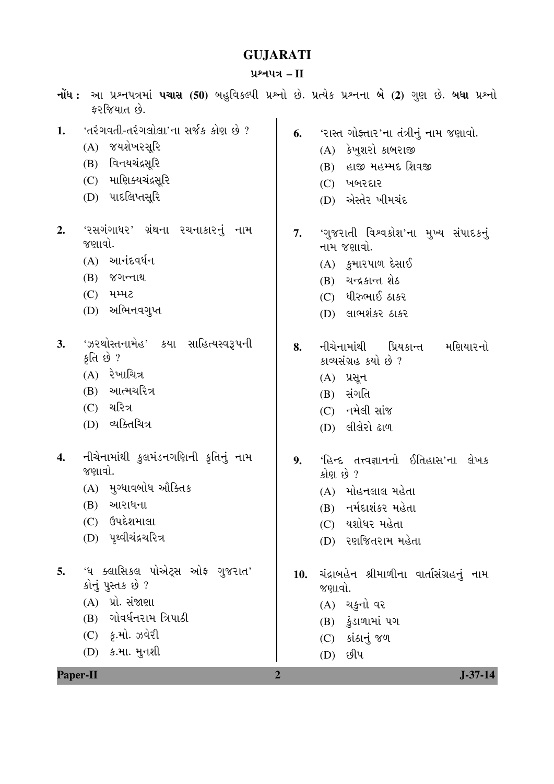## **GUJARATI**

## પ્રશ્નપત્ર – **II**

|                | <b>નોંધ :</b> આ પ્રશ્નપત્રમાં <b>પચાસ (50</b> ) બહુવિકલ્પી પ્રશ્નો છે. પ્રત્યેક પ્રશ્નના <b>બે (2</b> ) ગુણ છે. <b>બધા</b> પ્રશ્નો<br>ફરજિયાત છે. |                       |                                                                                                                                               |
|----------------|---------------------------------------------------------------------------------------------------------------------------------------------------|-----------------------|-----------------------------------------------------------------------------------------------------------------------------------------------|
| 1.             | <sub>ં</sub> તરંગવતી-તરંગલોલા'ના સર્જક કોણ છે ?<br>(A) જયશેખરસૂરિ<br>(B) વિનયચંદ્રસૂરિ<br>(C) માણિક્યચંદ્રસૂરિ<br>(D) પાદલિપ્તસૂરિ                | 6.                    | 'રાસ્ત ગોફ્તાર'ના તંત્રીનું નામ જણાવો.<br>(A) કેખુશરો કાબરાજી<br>હાજી મહમ્મદ શિવજી<br>(B)<br>$(C)$ ખબરદાર<br>(D) એસ્તેર ખીમચંદ                |
| 2.             | 'રસગંગાધર' ગ્રંથના રચનાકારનું નામ<br>જણાવો.<br>(A) આનંદવર્ધન<br>$(B)$ $\gamma$ $\nu$ $\nu$<br>(C) મમ્મટ<br>(D) અભિનવગુપ્ત                         | 7.                    | 'ગુજરાતી વિશ્વકોશ'ના મુખ્ય સંપાદકનું<br>નામ જણાવો.<br>(A) કુમારપાળ દેસાઈ<br>$(B)$ ચન્દ્રકાન્ત શેઠ<br>$(C)$ ધીરુભાઈ ઠાકર<br>$(D)$ લાભશંકર ઠાકર |
| 3.             | 'ઝરથોસ્તનામેહ' કયા સાહિત્યસ્વરૂપની<br>ક્રતિ છે ?<br>(A) રેખાચિત્ર<br>$(B)$ આત્મચરિત્ર<br>$(C)$ ચરિત્ર<br>(D) વ્યક્તિચિત્ર                         | 8.                    | નીચેનામાંથી પ્રિયકાન્ત<br>મણિયારનો<br>કાવ્યસંગ્રહ કર્યો છે ?<br>$(A)$ પ્રસૂન<br>(B) સંગતિ<br>(C) નમેલી સાંજ<br>(D) લીલેરો ઢાળ                 |
| 4.             | નીચેનામાંથી કુલમંડનગણિની કૃતિનું નામ<br>જણાવો.<br>(A) મુગ્ધાવબોધ ઔક્તિક<br>(B) આરાધના<br>$(C)$ ઉપદેશમાલા<br>(D) yedlaigaled                       | 9.                    | 'હિન્દ તત્ત્વજ્ઞાનનો ઈતિહાસ'ના લેખક<br>કોણ છે ?<br>(A) મોહનલાલ મહેતા<br>નર્મદાશંકર મહેતા<br>(B)<br>(C) યશોધર મહેતા<br>(D) રણજિતરામ મહેતા      |
| 5.<br>Paper-II | 'ધ ક્લાસિકલ પોએટ્સ ઓફ ગુજરાત'<br>કોનું પુસ્તક છે ?<br>(A) પ્રો. સંજાણા<br>(B) ગોવર્ધનરામ ત્રિપાઠી<br>(C) કૃ.મો. ઝવેરી<br>(D) ક.મા. મુનશી          | 10.<br>$\overline{2}$ | ચંદ્રાબહેન શ્રીમાળીના વાર્તાસંગ્રહનું નામ<br>જણાવો.<br>(A) ચકુનો વર<br>(B) કુંડાળામાં પગ<br>(C) કાંઠાનું જળ<br>(D) છીપ<br>$J-37-14$           |
|                |                                                                                                                                                   |                       |                                                                                                                                               |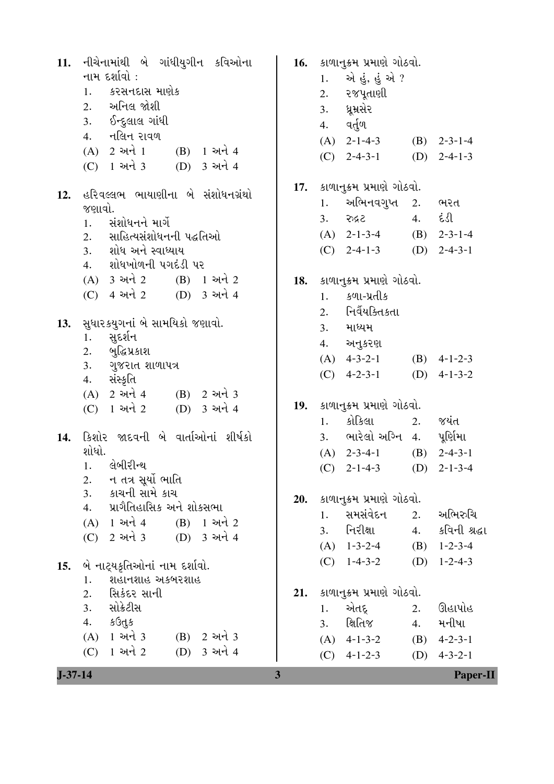| 11.           | નીચેનામાંથી બે ગાંધીયુગીન કવિઓના                       | <b>16.</b> |     | કાળાનુકમ પ્રમાણે ગોઠવો.   |     |                 |
|---------------|--------------------------------------------------------|------------|-----|---------------------------|-----|-----------------|
|               | નામ દર્શાવો :                                          |            | 1.  | એ હું, હું એ ?            |     |                 |
|               | કરસનદાસ માણેક<br>1.                                    |            | 2.  | ૨જપૂતાણી                  |     |                 |
|               | અનિલ જોશી<br>2.                                        |            | 3.  | ધૂમ્રસેર                  |     |                 |
|               | 3. ઈન્દુલાલ ગાંધી                                      |            | 4.  | વર્તુળ                    |     |                 |
|               | 4. નલિન રાવળ                                           |            |     | $(A)$ 2-1-4-3             |     | $(B)$ 2-3-1-4   |
|               | $(A) 2$ અને 1<br>$(B)$ 1 અને 4                         |            |     | $(C)$ 2-4-3-1             | (D) | $2 - 4 - 1 - 3$ |
|               | $(C)$ 1 અને 3<br>(D) 3 અને 4                           |            |     |                           |     |                 |
| 12.           | હરિવલ્લભ ભાયાણીના બે સંશોધનગ્રંથો                      | 17.        |     | કાળાનુક્રમ પ્રમાણે ગોઠવો. |     |                 |
|               | જણાવો.                                                 |            | 1.  | અભિનવગુપ્ત                | 2.  | ભરત             |
|               | સંશોધનને માર્ગે<br>1.                                  |            | 3.  | રુદ્રટ                    | 4.  | દંડી            |
|               | સાહિત્યસંશોધનની પદ્ધતિઓ<br>2.                          |            |     | $(A)$ 2-1-3-4             |     | $(B)$ 2-3-1-4   |
|               | શોધ અને સ્વાધ્યાય<br>3.                                |            |     | $(C)$ 2-4-1-3             |     | (D) $2-4-3-1$   |
|               | 4. શોધખોળની પગદંડી પર                                  |            |     |                           |     |                 |
|               | (A) 3 અને 2<br>(B) 1 અને 2                             | 18.        |     | કાળાનુકમ પ્રમાણે ગોઠવો.   |     |                 |
|               | (C) 4 અને 2 (D) 3 અને 4                                |            | 1.  | કળા-પ્રતીક                |     |                 |
|               |                                                        |            | 2.  | નિર્વેયક્તિકતા            |     |                 |
| 13.           | સુધારકયુગનાં બે સામયિકો જણાવો.                         |            | 3.  | માધ્યમ                    |     |                 |
|               | સુદર્શન<br>1.                                          |            | 4.  | અનુકરણ                    |     |                 |
|               | 2. બુદ્ધિપ્રકાશ<br>3. ગુજરાત શાળાપત્ર                  |            |     | $(A)$ 4-3-2-1             | (B) | $4 - 1 - 2 - 3$ |
|               | સંસ્કૃતિ<br>4.                                         |            | (C) | $4 - 2 - 3 - 1$           | (D) | $4 - 1 - 3 - 2$ |
|               | 2 અને 4 (B) 2 અને 3<br>(A)                             |            |     |                           |     |                 |
|               | $(C)$ 1 અને 2<br>(D) 3 અને 4                           | <b>19.</b> |     | કાળાનુકમ પ્રમાણે ગોઠવો.   |     |                 |
|               |                                                        |            | 1.  | કોકિલા                    | 2.  | જયંત            |
| 14.           | કિશોર જાદવની બે વાર્તાઓનાં શીર્ષકો                     |            | 3.  | ભારેલો અગ્નિ 4.           |     | પૂર્ણિમા        |
|               | શોધો.                                                  |            |     | $(A)$ 2-3-4-1             | (B) | $2 - 4 - 3 - 1$ |
|               | લેબીરીન્થ<br>1.                                        |            | (C) | $2-1-4-3$ (D)             |     | $2 - 1 - 3 - 4$ |
|               | ન તત્ર સૂર્યો ભાતિ<br>2.                               |            |     |                           |     |                 |
|               | કાચની સામે કાચ<br>3.<br>પ્રાગૈતિહાસિક અને શોકસભા<br>4. | 20.        |     | કાળાનુકમ પ્રમાણે ગોઠવો.   |     |                 |
|               | (A) 1 અને 4 (B) 1 અને 2                                |            | 1.  | સમસંવેદન                  | 2.  | અભિરુચિ         |
|               | (C) 2 અને 3 (D) 3 અને 4                                |            | 3.  | નિરીક્ષા                  | 4.  | કવિની શ્રદ્ધા   |
|               |                                                        |            |     | $(A)$ 1-3-2-4             |     | $(B)$ 1-2-3-4   |
| 15.           | બે નાટ્યકૃતિઓનાં નામ દર્શાવો.                          |            |     | $(C)$ 1-4-3-2             |     | $(D)$ 1-2-4-3   |
|               | શહાનશાહ અકબરશાહ<br>1.                                  |            |     |                           |     |                 |
|               | સિકંદર સાની<br>2.                                      | 21.        |     | કાળાનુકમ પ્રમાણે ગોઠવો.   |     |                 |
|               | સોક્રેટીસ<br>3.                                        |            | 1.  | એતદ્                      | 2.  | ઊહાપોહ          |
|               | 4. કઉતુક                                               |            | 3.  | ક્ષિતિજ                   | 4.  | મનીષા           |
|               | $(A) 1$ અને 3<br>(B) 2 અને 3                           |            |     | $(A)$ 4-1-3-2             | (B) | $4 - 2 - 3 - 1$ |
|               | $(C)$ 1 અને 2<br>(D) 3 અને 4                           |            | (C) | $4 - 1 - 2 - 3$           | (D) | $4 - 3 - 2 - 1$ |
| $J - 37 - 14$ |                                                        | 3          |     |                           |     | <b>Paper-II</b> |

| 3. ાક્ષાતજ    | 4. મનાષા      |
|---------------|---------------|
| $(A)$ 4-1-3-2 | $(B)$ 4-2-3-1 |
| $(C)$ 4-1-2-3 | $(D)$ 4-3-2-1 |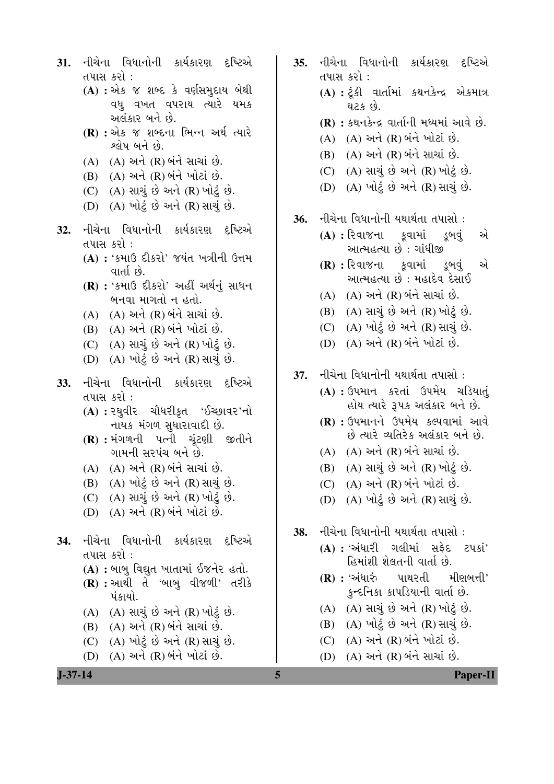- 31. નીચેના વિધાનોની કાર્યકારણ દૃષ્ટિએ તપાસ કરો $\cdot$ 
	- (A) : એક જ શબ્દ કે વર્ણસમદાય બેથી વધુ વખત વપરાય ત્યારે યમક અલંકાર બને છે.
	- **(R) :** એક જ શબ્દના ભિન્ન અર્થ ત્યારે શ્લેષ બને છે.
	- $(A)$   $(A)$  અને  $(R)$  બંને સાચાં છે.
	- $(B)$   $(A)$  અને  $(R)$  બંને ખોટાં છે.
	- (C) (A) સાચં છે અને (R) ખોટું છે.
	- $(D)$   $(A)$  ખોટું છે અને  $(R)$  સાચું છે.
- 32. નીચેના વિધાનોની કાર્યકારણ દૃષ્ટિએ તપાસ કરો :
	- **(A) : '**કમાઉ દીકરો' જયંત ખત્રીની ઉત્તમ  $q_{\text{left}}$  $q_{\text{right}}$
	- **(R) :** 'કમાઉ દીકરો' અહીં અર્થનું સાધન બનવા માગતો ન હતો.
	- $(A)$   $(A)$  અને  $(R)$  બંને સાચાં છે.
	- $(B)$   $(A)$  અને  $(R)$  બંને ખોટાં છે.
	- (C) (A) સાચું છે અને (R) ખોટું છે.
	- (D) (A) ખોટું છે અને (R) સાચું છે.
- 33. નીચેના વિધાનોની કાર્યકારણ દૃષ્ટિએ તપાસ કરો :
	- **(A) :** રઘુવીર ચૌધરીકૃત 'ઈચ્છાવર'નો નાયક મંગળ સુધારાવાદી છે.
	- **(R) :** મંગળની પત્ની ચૂંટણી જીતીને ગામની સરપંચ બને છે.
	- (A) (A) અને (R) બંને સાચાં છે.
	- $(B)$   $(A)$  ખોટું છે અને  $(R)$  સાચું છે.
	- $(C)$   $(A)$  સાચું છે અને  $(R)$  ખોટું છે.
	- (D) (A) અને (R) બંને ખોટાં છે.
- **34.** નીચેના વિધાનોની કાર્યકારણ દષ્ટિએ તપાસ કરો :
	- (A) : બાબુ વિદ્યુત ખાતામાં ઈજનેર હતો.
	- **(R) :** આથી તે 'બાબુ વીજળી' તરીકે પંકાયો.
	- $(A)$   $(A)$  સાચું છે અને  $(R)$  ખોટું છે.
	- $(B)$   $(A)$  અને  $(R)$  બંને સાચાં છે.
	- $(C)$   $(A)$  ખોટું છે અને  $(R)$  સાચું છે.
	- (D) (A) અને (R) બંને ખોટાં છે.
- 35. નીચેના વિધાનોની કાર્યકારણ દષ્ટિએ તપાસ કરો : **(A) :** ટંકી વાર્તામાં કથનકેન્દ્ર એકમાત્ર ધટક છે.
	- **(R) : કથનકેન્દ્ર વાર્તાની મધ્યમાં આવે છે.**
	- $(A)$   $(A)$  અને  $(R)$  બંને ખોટાં છે.
	- $(B)$   $(A)$  અને  $(R)$  બંને સાચાં છે.
	- $(C)$  (A) સાચું છે અને  $(R)$  ખોટું છે.
	- $(D)$   $(A)$  ખોટું છે અને  $(R)$  સાચું છે.
- **36.** નીચેના વિધાનોની યથાર્થતા તપાસો :
	- **(A) :** રિવાજના કવામાં ડબવં એ આત્મહત્યા છે : ગાંધીજી
	- **(R) :** રિવાજના કુવામાં ડુબવું એ આત્મહત્યા છે : મહાદેવ દેસાઈ
	- $(A)$   $(A)$  અને  $(R)$  બંને સાચાં છે.
	- $(B)$   $(A)$  સાચં છે અને  $(R)$  ખોટ છે.
	- $(C)$   $(A)$  ખોટું છે અને  $(R)$  સાચું છે.
	- $(D)$   $(A)$  અને  $(R)$  બંને ખોટાં છે.
- **37.** નીચેના વિધાનોની યથાર્થતા તપાસો :
	- **(A) : ઉપમાન કરતાં ઉપમેય ચડિયાતં** હોય ત્યારે રૂપક અલંકાર બને છે.
	- **(R) : ઉપમાનને ઉપમેય કલ્પવામાં આવે**  $\dot{\vartheta}$  ત્યારે વ્યતિરેક અલંકાર બને છે.
	- $(A)$   $(A)$  અને  $(R)$  બંને સાચાં છે.
	- $(B)$   $(A)$  સાચું છે અને  $(R)$  ખોટું છે.
	- (C) (A) અને (R) બંને ખોટાં છે.
	- (D) (A) ખોટું છે અને (R) સાચું છે.
- **38.** નીચેના વિધાનોની યથાર્થતા તપાસો:
	- **(A) : 'અંધારી ગલીમાં સફેદ ટપકાં'** હિમાંશી શેલતની વાર્તા છે.
	- **(R) : '**અંધારું પાથરતી મીણબત્તી' કુન્દનિકા કાપડિયાની વાર્તા છે.
	- $(A)$   $(A)$  સાચું છે અને  $(R)$  ખોટું છે.
	- $(B)$   $(A)$  ખોટું છે અને  $(R)$  સાચું છે.
	- $(C)$   $(A)$  અને  $(R)$  બંને ખોટાં છે.
	- (D) (A) અને (R) બંને સાચાં છે.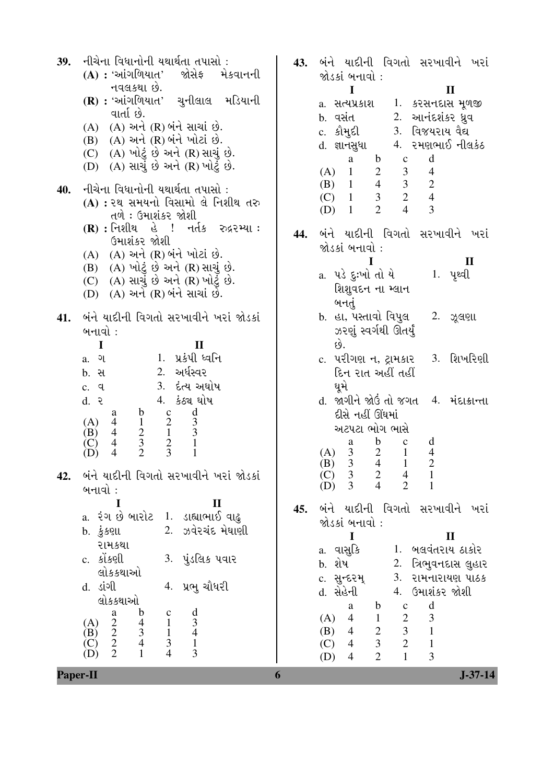|     | $\binom{C}{D}$<br>$\mathbf{1}$                                                                                                                                                                                                   |     | $\overline{3}$<br>$\overline{2}$<br>$\mathbf 1$<br>(C)<br>$4\overline{ }$<br>$\overline{2}$<br>$\mathbf{1}$<br>$\overline{3}$<br>(D)<br>$\overline{4}$                                       |
|-----|----------------------------------------------------------------------------------------------------------------------------------------------------------------------------------------------------------------------------------|-----|----------------------------------------------------------------------------------------------------------------------------------------------------------------------------------------------|
|     | $\begin{array}{c} d \\ 3 \\ 4 \\ 1 \\ 3 \end{array}$<br>$\begin{array}{c} b \\ 4 \\ 3 \\ 4 \end{array}$<br>$\begin{array}{c} c \\ 1 \\ 1 \\ 3 \\ 4 \end{array}$<br>$\begin{array}{c} a \\ 2 \\ 2 \\ 2 \end{array}$<br>(A)<br>(B) |     | $\mathbf d$<br>$\mathbf b$<br>a<br>$\mathbf{C}$<br>$\mathfrak{Z}$<br>(A) 4<br>$\overline{1}$<br>$\overline{2}$<br>$\overline{2}$<br>$\mathfrak{Z}$<br>$\mathbf{1}$<br>$4\overline{ }$<br>(B) |
|     | d. ડાંગી<br>પ્રભુ ચૌધરી<br>4.<br>લોકકથાઓ                                                                                                                                                                                         |     | $3.$ રામનારાયણ પાઠક<br>c. સુન્દ૨મ્<br>d. સેહેની<br>4. ઉમાશંકર જોશી                                                                                                                           |
|     | c. કોંકણી<br>3. પુંડલિક પવાર<br>લોકકથાઓ                                                                                                                                                                                          |     | b. શેષ<br>2. ત્રિભુવનદાસ લુહાર                                                                                                                                                               |
|     | b. કુંકણા<br>રામકથા                                                                                                                                                                                                              |     | $\mathbf I$<br>$\mathbf{I}$<br>a. વાસુકિ<br>1. બલવંતરાય ઠાકોર                                                                                                                                |
|     | a. રંગ છે બારોટ   1.  ડાહ્યાભાઈ વાઢ્<br>2. ઝવેરચંદ મેઘાણી                                                                                                                                                                        | 45. | જોડકાં બનાવો :                                                                                                                                                                               |
|     | બનાવો :<br>I<br>$\mathbf{I}$                                                                                                                                                                                                     |     | બંને યાદીની વિગતો સરખાવીને ખરાં                                                                                                                                                              |
| 42. | બંને યાદીની વિગતો સરખાવીને ખરાં જોડકાં                                                                                                                                                                                           |     | $\mathbf{1}$<br>(B) $\begin{matrix} 3 & 3 \\ 2 & 3 & 2 \\ 3 & 4 & 4 \end{matrix}$<br>$\overline{4}$<br>$\overline{2}$<br>$\mathbf{1}$                                                        |
|     | $\frac{2}{3}$<br>$\overline{4}$<br>$\binom{C}{D}$<br>$\overline{4}$<br>$\mathbf{1}$                                                                                                                                              |     | $\mathbf b$<br>d<br>$\mathbf c$<br>a<br>$\overline{2}$<br>$\overline{4}$<br>3 <sup>7</sup><br>$\mathbf{1}$<br>(A)<br>$\overline{4}$<br>$\overline{2}$<br>3 <sup>7</sup><br>$\mathbf{1}$      |
|     | $\begin{array}{c} d \\ 3 \\ 3 \\ 1 \end{array}$<br>$\begin{array}{c} c \\ 2 \\ 1 \\ 2 \\ 3 \end{array}$<br>$(A)$ 4<br>$\mathbf{1}$<br>(B)<br>$\overline{4}$                                                                      |     | અટપટા ભોગ ભાસે                                                                                                                                                                               |
|     | કંઠ્ય ઘોષ<br>4.<br>d. २<br>$\mathbf b$<br>a                                                                                                                                                                                      |     | d.  જાગીને જોઉં તો જગત<br>$4.$ $i$ દાકાન્તા<br>દીસે નહીં ઊંઘમાં                                                                                                                              |
|     | 3. દંત્ય અઘોષ<br>c. q                                                                                                                                                                                                            |     | ઘૂમે                                                                                                                                                                                         |
|     | 1. પ્રકંપી ધ્વનિ<br>$a. \partial$<br>2. અર્ધસ્વર<br>b. સ                                                                                                                                                                         |     | 3. શિખરિણી<br>c. પરીગણ ન, ટ્રામકાર<br>દિન રાત અહીં તહીં                                                                                                                                      |
|     | I<br>$\mathbf{I}$                                                                                                                                                                                                                |     | છે.                                                                                                                                                                                          |
| 41. | બંને યાદીની વિગતો સરખાવીને ખરાં જોડકાં<br>બનાવો :                                                                                                                                                                                |     | b.  હા, પસ્તાવો વિપુલ<br>2. ઝૂલણા<br>ઝરણું સ્વર્ગથી ઊતર્યું                                                                                                                                  |
|     | (D) (A) અને (R) બંને સાચાં છે.                                                                                                                                                                                                   |     | બનતું                                                                                                                                                                                        |
|     | (B) (A) ખોટું છે અને (R) સાચું છે.<br>(C) (A) સાચું છે અને (R) ખોટું છે.                                                                                                                                                         |     | a.  પડે દુઃખો તો યે<br>1. પૃથ્વી<br>શિશુવદન ના મ્લાન                                                                                                                                         |
|     | (A) (A) અને (R) બંને ખોટાં છે.                                                                                                                                                                                                   |     | જોડકાં બનાવો :<br>$\mathbf{I}$<br>I                                                                                                                                                          |
|     | $(R)$ : નિશીથ હે ! નર્તક રુદ્રરમ્યા :<br>ઉમાશંકર જોશી                                                                                                                                                                            | 44. | બંને યાદીની વિગતો સરખાવીને ખરાં                                                                                                                                                              |
|     | (A) : રથ સમયનો વિસામો લે નિશીથ તરુ<br>તળે : ઉમાશંકર જોશી                                                                                                                                                                         |     | $\overline{4}$<br>$\overline{2}$<br>$\overline{3}$<br>$(D)$ 1                                                                                                                                |
| 40. | નીચેના વિધાનોની યથાર્થતા તપાસો :                                                                                                                                                                                                 |     | $4 \quad 3$<br>$\overline{2}$<br>$(B)$ 1<br>$\overline{4}$<br>$3\qquad 2$<br>$(C)$ 1                                                                                                         |
|     | (D) (A) સાચું છે અને (R) ખોટું છે.                                                                                                                                                                                               |     | $\mathbf d$<br>$\mathbf b$<br>a<br>$\mathbf{C}$<br>$\overline{2}$<br>$\mathfrak{Z}$<br>$(A)$ 1<br>$\overline{4}$                                                                             |
|     | (B) (A) અને (R) બંને ખોટાં છે.<br>(C) (A) ખોટું છે અને (R) સાચું છે.                                                                                                                                                             |     | 4. રમણભાઈ નીલકંઠ<br>d. જ્ઞાનસુધા                                                                                                                                                             |
|     | (A) (A) અને (R) બંને સાચાં છે.                                                                                                                                                                                                   |     | 2. આનંદશંકર ધ્રુવ<br>b. વસંત<br>c. કૌમુદી<br>3. વિજયરાય વૈદ્ય                                                                                                                                |
|     | (R) : 'આંગળિયાત' ચુનીલાલ મડિયાની<br>વાર્તા છે.                                                                                                                                                                                   |     | 1. કરસનદાસ મૂળજી<br>a. સત્યપ્રકાશ                                                                                                                                                            |
|     | (A) : 'આંગળિયાત'<br>જોસેફ મેકવાનની<br>નવલકથા છે.                                                                                                                                                                                 |     | જોડકાં બનાવો :<br>I<br>$\mathbf{I}$                                                                                                                                                          |
| 39. | નીચેના વિધાનોની યથાર્થતા તપાસો :                                                                                                                                                                                                 | 43. | બંને યાદીની વિગતો સરખાવીને ખરાં                                                                                                                                                              |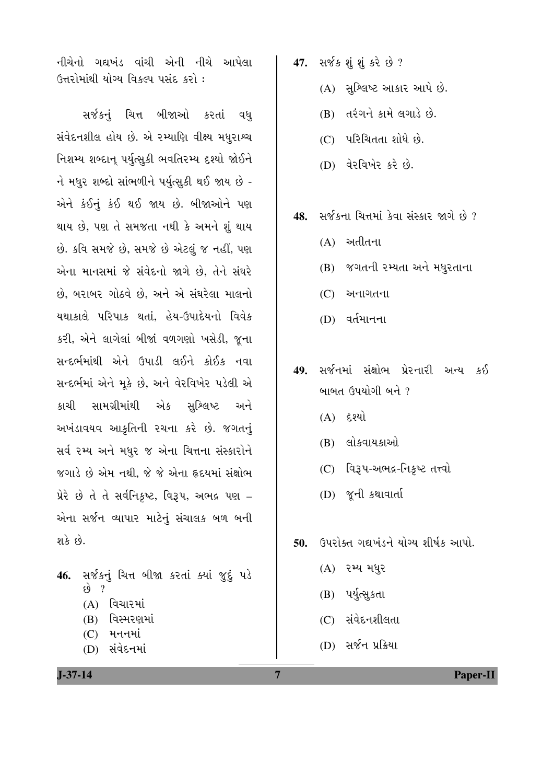નીચેનો ગદ્યખંડ વાંચી એની નીચે આપેલ<mark>ા</mark>  $(3n)$ માંથી યોગ્ય વિકલ્પ પસંદ કરો:

સર્જકનું ચિત્ત બીજાઓ કરતાં વધુ સંવેદનશીલ હોય છે. એ રમ્યાણિ વીક્ષ્ય મધુરાશ્ચ ત્તિશમ્ય શબ્દાન પર્યત્સકી ભવતિરમ્ય દૃશ્યો જોઈને  $\dot{a}$  મધુર શબ્દો સાંભળીને પર્યુત્સુકી થઈ જાય છે -એને કંઈનું કંઈ થઈ જાય છે. બીજાઓને પણ થાય છે, પણ તે સમજતા નથી કે અમને શું થાય છે. કવિ સમજે છે, સમજે છે એટલું જ નહીં, પણ એના માનસમાં જે સંવેદનો જાગે છે. તેને સંઘરે છે. બરાબર ગોઠવે છે. અને એ સંઘરેલા માલનો યથાકાલે પરિપાક થતાં. હેય-ઉપાદેયનો વિવેક કરી, એને લાગેલાં બીજાં વળગણો ખસેડી, જૂના  $R$ ન્દર્ભમાંથી એને ઉપાડી લઈને કોઈક નવા સન્દર્ભમાં એને મકે છે. અને વેરવિખેર પડેલી એ કાચી સામગ્રીમાંથી એક સુશ્લિષ્ટ અને આપંડાવયવ આકૃતિની રચના કરે છે. જગતનું સર્વ રમ્ય અને મધુર જ એના ચિત્તના સંસ્કારોને જગાડે છે એમ નથી, જે જે એના હૃદયમાં સંક્ષોભ  $\mu$ રે છે તે તે સર્વનિકૃષ્ટ, વિરૂપ, અભદ્ર પણ – એના સર્જન વ્યાપાર માટેનું સંચાલક બળ બની  $91\overline{5}$   $59.$ 

- 46. સર્જકનું ચિત્ત બીજા કરતાં ક્યાં જુદું પડે  $\mathfrak{g}$  ?  $(A)$  વિચારમાં
	- $(B)$  વિસ્મરણમાં
	- $(C)$  મનનમાં
	- (D) HEEFHI
- 47. **H**oss શું શું કરે છે ?
	- $(A)$  સુશ્લિષ્ટ આકાર આપે છે.
	- $(B)$   $\overrightarrow{d}$   $\overrightarrow{d}$   $\overrightarrow{d}$   $\overrightarrow{e}$   $\overrightarrow{d}$   $\overrightarrow{e}$   $\overrightarrow{d}$
	- $(C)$  પરિચિતતા શોધે છે.
	- $(D)$  વેરવિખેર કરે છે.
- 48. H&stl ચિત્તમાં કેવા સંસ્કાર જાગે છે ?
	- $(A)$  અતીતના
	- (B) જગતની રમ્યતા અને મધુરતાના
	- (C) અનાગતના
	- (D) વર્તમાનના
- 49. સર્જનમાં સંક્ષોભ પ્રેરનારી અન્ય કઈ બાબત ઉપયોગી બને  $?$ 
	- $(A)$  દૃશ્યો
	- (B) લોકવાયકાઓ
	- $(C)$  વિરૂપ-અભદ્ર-નિકૃષ્ટ તત્ત્વો
	- (D) જુની કથાવાર્તા
- 50. ઉપરોક્ત ગદ્યખંડને યોગ્ય શીર્ષક આપો.
	- $(A)$  રમ્ય મધુર
	- (B) પર્યુત્સુકતા
	- $(C)$   $\ddot{a}$ denelledl
	- (D) સર્જન પ્રક્રિયા

**J-37-14 7 Paper-II**